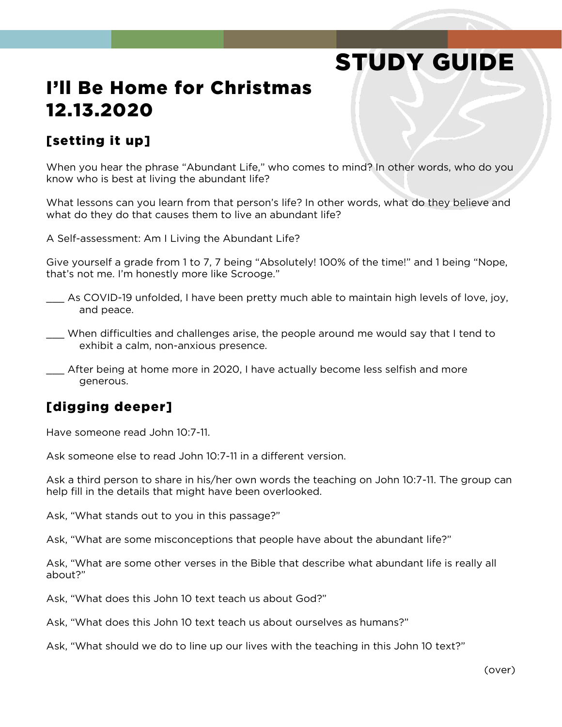# STUDY GUIDE

## I'll Be Home for Christmas 12.13.2020

#### [setting it up]

When you hear the phrase "Abundant Life," who comes to mind? In other words, who do you know who is best at living the abundant life?

What lessons can you learn from that person's life? In other words, what do they believe and what do they do that causes them to live an abundant life?

A Self-assessment: Am I Living the Abundant Life?

Give yourself a grade from 1 to 7, 7 being "Absolutely! 100% of the time!" and 1 being "Nope, that's not me. I'm honestly more like Scrooge."

- \_\_\_ As COVID-19 unfolded, I have been pretty much able to maintain high levels of love, joy, and peace.
- \_\_\_ When difficulties and challenges arise, the people around me would say that I tend to exhibit a calm, non-anxious presence.

\_\_\_ After being at home more in 2020, I have actually become less selfish and more generous.

#### [digging deeper]

Have someone read John 10:7-11.

Ask someone else to read John 10:7-11 in a different version.

Ask a third person to share in his/her own words the teaching on John 10:7-11. The group can help fill in the details that might have been overlooked.

Ask, "What stands out to you in this passage?"

Ask, "What are some misconceptions that people have about the abundant life?"

Ask, "What are some other verses in the Bible that describe what abundant life is really all about?"

Ask, "What does this John 10 text teach us about God?"

Ask, "What does this John 10 text teach us about ourselves as humans?"

Ask, "What should we do to line up our lives with the teaching in this John 10 text?"